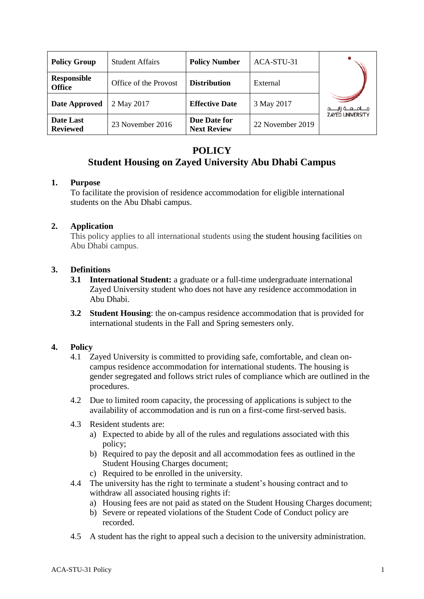| <b>Policy Group</b>                 | <b>Student Affairs</b> | <b>Policy Number</b>               | ACA-STU-31       |                           |
|-------------------------------------|------------------------|------------------------------------|------------------|---------------------------|
| <b>Responsible</b><br><b>Office</b> | Office of the Provost  | <b>Distribution</b>                | External         |                           |
| Date Approved                       | 2 May 2017             | <b>Effective Date</b>              | 3 May 2017       | مــــامـــعـــة زايـــــد |
| Date Last<br><b>Reviewed</b>        | 23 November 2016       | Due Date for<br><b>Next Review</b> | 22 November 2019 | <b>ZAYED UNIVERSITY</b>   |

# **POLICY Student Housing on Zayed University Abu Dhabi Campus**

#### **1. Purpose**

To facilitate the provision of residence accommodation for eligible international students on the Abu Dhabi campus.

## **2. Application**

This policy applies to all international students using the student housing facilities on Abu Dhabi campus.

## **3. Definitions**

- **3.1 International Student:** a graduate or a full-time undergraduate international Zayed University student who does not have any residence accommodation in Abu Dhabi.
- **3.2 Student Housing**: the on-campus residence accommodation that is provided for international students in the Fall and Spring semesters only.

# **4. Policy**

- 4.1 Zayed University is committed to providing safe, comfortable, and clean oncampus residence accommodation for international students. The housing is gender segregated and follows strict rules of compliance which are outlined in the procedures.
- 4.2 Due to limited room capacity, the processing of applications is subject to the availability of accommodation and is run on a first-come first-served basis.
- 4.3 Resident students are:
	- a) Expected to abide by all of the rules and regulations associated with this policy;
	- b) Required to pay the deposit and all accommodation fees as outlined in the Student Housing Charges document;
	- c) Required to be enrolled in the university.
- 4.4 The university has the right to terminate a student's housing contract and to withdraw all associated housing rights if:
	- a) Housing fees are not paid as stated on the Student Housing Charges document;
	- b) Severe or repeated violations of the Student Code of Conduct policy are recorded.
- 4.5 A student has the right to appeal such a decision to the university administration.